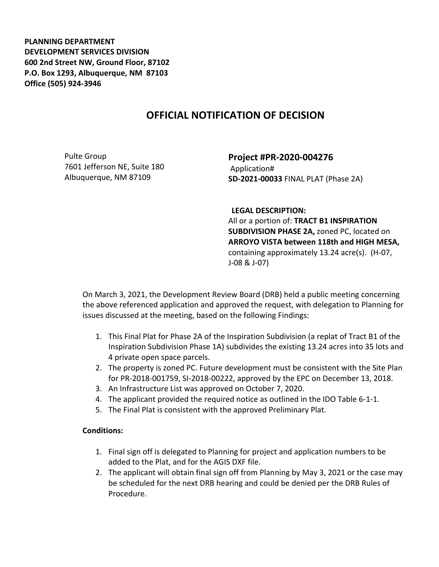**PLANNING DEPARTMENT DEVELOPMENT SERVICES DIVISION 600 2nd Street NW, Ground Floor, 87102 P.O. Box 1293, Albuquerque, NM 87103 Office (505) 924-3946** 

## **OFFICIAL NOTIFICATION OF DECISION**

Pulte Group 7601 Jefferson NE, Suite 180 Albuquerque, NM 87109

**Project #PR-2020-004276** Application# **SD-2021-00033** FINAL PLAT (Phase 2A)

**LEGAL DESCRIPTION:**

All or a portion of: **TRACT B1 INSPIRATION SUBDIVISION PHASE 2A,** zoned PC, located on **ARROYO VISTA between 118th and HIGH MESA,**  containing approximately 13.24 acre(s). (H-07, J-08 & J-07)

On March 3, 2021, the Development Review Board (DRB) held a public meeting concerning the above referenced application and approved the request, with delegation to Planning for issues discussed at the meeting, based on the following Findings:

- 1. This Final Plat for Phase 2A of the Inspiration Subdivision (a replat of Tract B1 of the Inspiration Subdivision Phase 1A) subdivides the existing 13.24 acres into 35 lots and 4 private open space parcels.
- 2. The property is zoned PC. Future development must be consistent with the Site Plan for PR-2018-001759, SI-2018-00222, approved by the EPC on December 13, 2018.
- 3. An Infrastructure List was approved on October 7, 2020.
- 4. The applicant provided the required notice as outlined in the IDO Table 6-1-1.
- 5. The Final Plat is consistent with the approved Preliminary Plat.

## **Conditions:**

- 1. Final sign off is delegated to Planning for project and application numbers to be added to the Plat, and for the AGIS DXF file.
- 2. The applicant will obtain final sign off from Planning by May 3, 2021 or the case may be scheduled for the next DRB hearing and could be denied per the DRB Rules of Procedure.